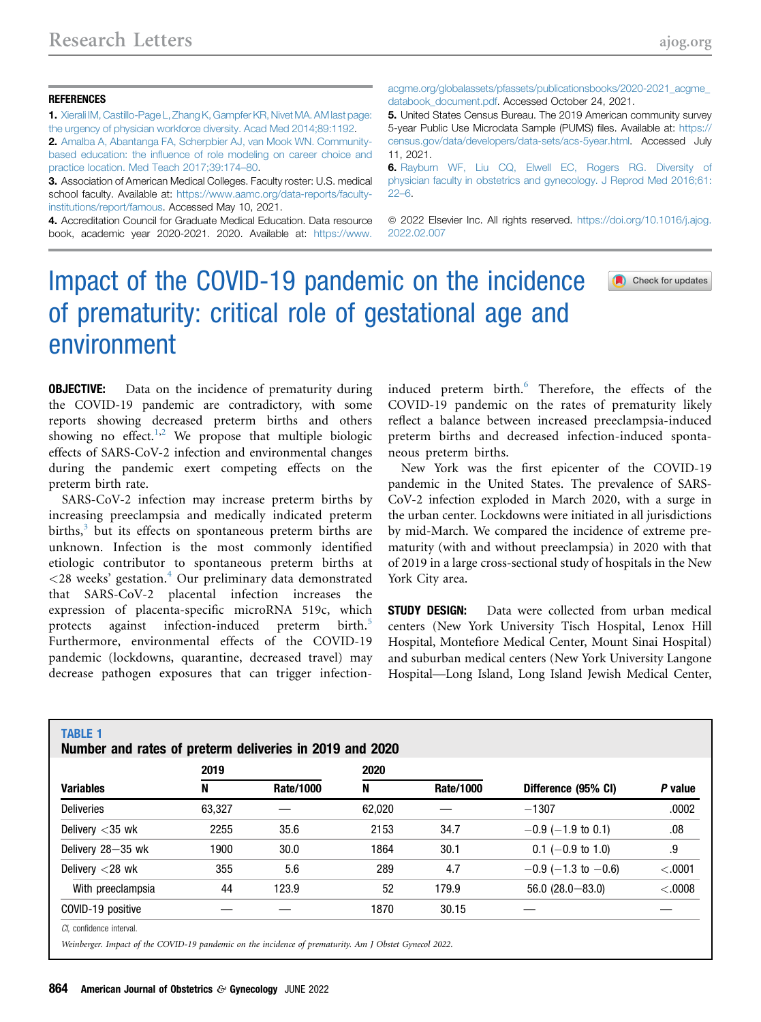Check for updates

## **REFERENCES**

TABLE 1

1. [Xierali IM, Castillo-Page L, Zhang K, Gampfer KR, Nivet MA. AM last page:](http://refhub.elsevier.com/S0002-9378(22)00144-2/sref1) [the urgency of physician workforce diversity. Acad Med 2014;89:1192](http://refhub.elsevier.com/S0002-9378(22)00144-2/sref1).

2. [Amalba A, Abantanga FA, Scherpbier AJ, van Mook WN. Community](http://refhub.elsevier.com/S0002-9378(22)00144-2/sref2)based education: the infl[uence of role modeling on career choice and](http://refhub.elsevier.com/S0002-9378(22)00144-2/sref2) [practice location. Med Teach 2017;39:174](http://refhub.elsevier.com/S0002-9378(22)00144-2/sref2)–80.

3. Association of American Medical Colleges. Faculty roster: U.S. medical school faculty. Available at: [https://www.aamc.org/data-reports/faculty](https://www.aamc.org/data-reports/faculty-institutions/report/famous)[institutions/report/famous](https://www.aamc.org/data-reports/faculty-institutions/report/famous). Accessed May 10, 2021.

4. Accreditation Council for Graduate Medical Education. Data resource book, academic year 2020-2021. 2020. Available at: [https://www.](https://www.acgme.org/globalassets/pfassets/publicationsbooks/2020-2021_acgme_databook_document.pdf) [acgme.org/globalassets/pfassets/publicationsbooks/2020-2021\\_acgme\\_](https://www.acgme.org/globalassets/pfassets/publicationsbooks/2020-2021_acgme_databook_document.pdf) [databook\\_document.pdf](https://www.acgme.org/globalassets/pfassets/publicationsbooks/2020-2021_acgme_databook_document.pdf). Accessed October 24, 2021.

5. United States Census Bureau. The 2019 American community survey 5-year Public Use Microdata Sample (PUMS) files. Available at: [https://](https://census.gov/data/developers/data-sets/acs-5year.html) [census.gov/data/developers/data-sets/acs-5year.html.](https://census.gov/data/developers/data-sets/acs-5year.html) Accessed July 11, 2021.

6. [Rayburn WF, Liu CQ, Elwell EC, Rogers RG. Diversity of](http://refhub.elsevier.com/S0002-9378(22)00144-2/sref6) [physician faculty in obstetrics and gynecology. J Reprod Med 2016;61:](http://refhub.elsevier.com/S0002-9378(22)00144-2/sref6) [22](http://refhub.elsevier.com/S0002-9378(22)00144-2/sref6)–6.

© 2022 Elsevier Inc. All rights reserved. [https://doi.org/10.1016/j.ajog.](https://doi.org/10.1016/j.ajog.2022.02.007) [2022.02.007](https://doi.org/10.1016/j.ajog.2022.02.007)

## Impact of the COVID-19 pandemic on the incidence of prematurity: critical role of gestational age and environment

**OBJECTIVE:** Data on the incidence of prematurity during the COVID-19 pandemic are contradictory, with some reports showing decreased preterm births and others showing no effect.<sup>[1](#page-2-0)[,2](#page-2-1)</sup> We propose that multiple biologic effects of SARS-CoV-2 infection and environmental changes during the pandemic exert competing effects on the preterm birth rate.

SARS-CoV-2 infection may increase preterm births by increasing preeclampsia and medically indicated preterm births, $3$  but its effects on spontaneous preterm births are unknown. Infection is the most commonly identified etiologic contributor to spontaneous preterm births at  $\langle 28 \text{ weeks}' \rangle$  gestation.<sup>[4](#page-2-3)</sup> Our preliminary data demonstrated that SARS-CoV-2 placental infection increases the expression of placenta-specific microRNA 519c, which protects against infection-induced preterm birth.<sup>[5](#page-2-4)</sup> Furthermore, environmental effects of the COVID-19 pandemic (lockdowns, quarantine, decreased travel) may decrease pathogen exposures that can trigger infectioninduced preterm birth.<sup>[6](#page-2-5)</sup> Therefore, the effects of the COVID-19 pandemic on the rates of prematurity likely reflect a balance between increased preeclampsia-induced preterm births and decreased infection-induced spontaneous preterm births.

New York was the first epicenter of the COVID-19 pandemic in the United States. The prevalence of SARS-CoV-2 infection exploded in March 2020, with a surge in the urban center. Lockdowns were initiated in all jurisdictions by mid-March. We compared the incidence of extreme prematurity (with and without preeclampsia) in 2020 with that of 2019 in a large cross-sectional study of hospitals in the New York City area.

**STUDY DESIGN:** Data were collected from urban medical centers (New York University Tisch Hospital, Lenox Hill Hospital, Montefiore Medical Center, Mount Sinai Hospital) and suburban medical centers (New York University Langone Hospital—Long Island, Long Island Jewish Medical Center,

<span id="page-0-0"></span>

| <b>Variables</b>   | 2019   |           | 2020   |                  |                       |         |
|--------------------|--------|-----------|--------|------------------|-----------------------|---------|
|                    | N      | Rate/1000 | N      | <b>Rate/1000</b> | Difference (95% CI)   | P value |
| <b>Deliveries</b>  | 63,327 |           | 62,020 |                  | $-1307$               | .0002   |
| Delivery $<$ 35 wk | 2255   | 35.6      | 2153   | 34.7             | $-0.9$ (-1.9 to 0.1)  | .08     |
| Delivery 28-35 wk  | 1900   | 30.0      | 1864   | 30.1             | $0.1$ (-0.9 to 1.0)   | .9      |
| Delivery $<$ 28 wk | 355    | 5.6       | 289    | 4.7              | $-0.9$ (-1.3 to -0.6) | < .0001 |
| With preeclampsia  | 44     | 123.9     | 52     | 179.9            | $56.0(28.0 - 83.0)$   | < .0008 |
| COVID-19 positive  |        |           | 1870   | 30.15            |                       |         |

Weinberger. Impact of the COVID-19 pandemic on the incidence of prematurity. Am J Obstet Gynecol 2022.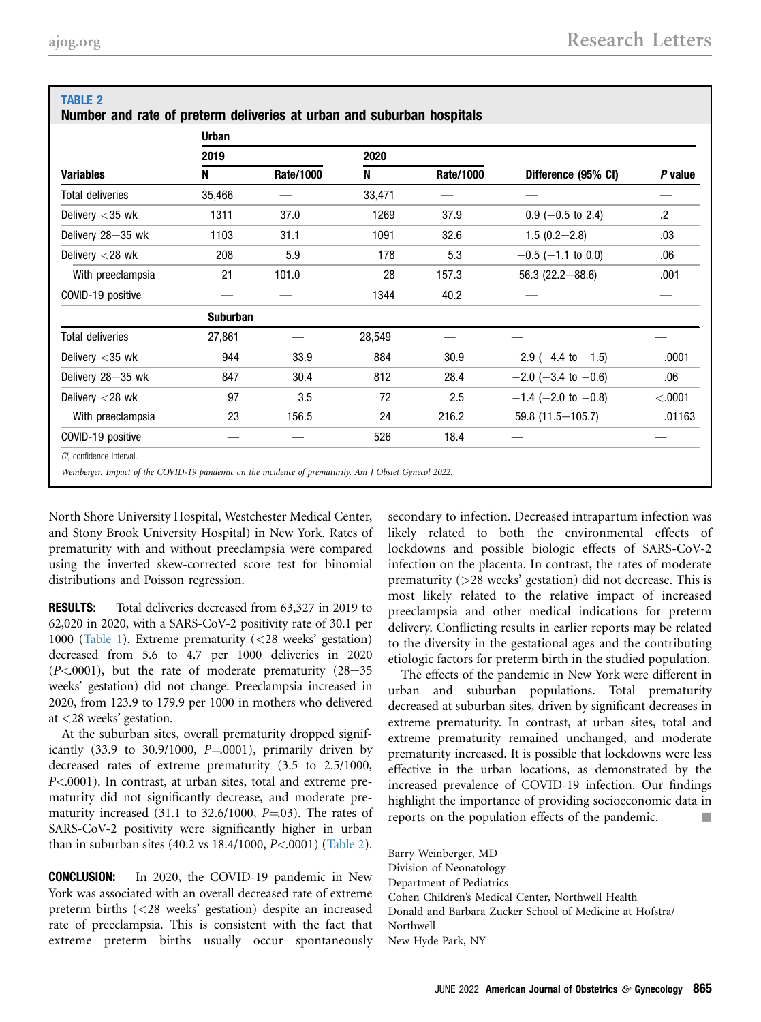<span id="page-1-0"></span>TABLE 2

| <b>Variables</b>         | <b>Urban</b>    |           |        |           |                       |         |  |  |  |
|--------------------------|-----------------|-----------|--------|-----------|-----------------------|---------|--|--|--|
|                          | 2019            |           | 2020   |           |                       |         |  |  |  |
|                          | N               | Rate/1000 | N      | Rate/1000 | Difference (95% CI)   | P value |  |  |  |
| <b>Total deliveries</b>  | 35,466          |           | 33,471 |           |                       |         |  |  |  |
| Delivery $<$ 35 wk       | 1311            | 37.0      | 1269   | 37.9      | $0.9$ (-0.5 to 2.4)   | $\cdot$ |  |  |  |
| Delivery 28-35 wk        | 1103            | 31.1      | 1091   | 32.6      | $1.5(0.2 - 2.8)$      | .03     |  |  |  |
| Delivery $<$ 28 wk       | 208             | 5.9       | 178    | 5.3       | $-0.5$ (-1.1 to 0.0)  | .06     |  |  |  |
| With preeclampsia        | 21              | 101.0     | 28     | 157.3     | $56.3$ (22.2-88.6)    | .001    |  |  |  |
| COVID-19 positive        |                 |           | 1344   | 40.2      |                       |         |  |  |  |
|                          | <b>Suburban</b> |           |        |           |                       |         |  |  |  |
| <b>Total deliveries</b>  | 27,861          |           | 28,549 |           |                       |         |  |  |  |
| Delivery $<$ 35 wk       | 944             | 33.9      | 884    | 30.9      | $-2.9$ (-4.4 to -1.5) | .0001   |  |  |  |
| Delivery 28-35 wk        | 847             | 30.4      | 812    | 28.4      | $-2.0$ (-3.4 to -0.6) | .06     |  |  |  |
| Delivery $<$ 28 wk       | 97              | 3.5       | 72     | 2.5       | $-1.4$ (-2.0 to -0.8) | < .0001 |  |  |  |
| With preeclampsia        | 23              | 156.5     | 24     | 216.2     | 59.8 (11.5 - 105.7)   | .01163  |  |  |  |
| COVID-19 positive        |                 |           | 526    | 18.4      |                       |         |  |  |  |
| Cl. confidence interval. |                 |           |        |           |                       |         |  |  |  |

Weinberger. Impact of the COVID-19 pandemic on the incidence of prematurity. Am J Obstet Gynecol 2022.

North Shore University Hospital, Westchester Medical Center, and Stony Brook University Hospital) in New York. Rates of prematurity with and without preeclampsia were compared using the inverted skew-corrected score test for binomial distributions and Poisson regression.

RESULTS: Total deliveries decreased from 63,327 in 2019 to 62,020 in 2020, with a SARS-CoV-2 positivity rate of 30.1 per 1000 [\(Table 1\)](#page-0-0). Extreme prematurity (<28 weeks' gestation) decreased from 5.6 to 4.7 per 1000 deliveries in 2020  $(P<.0001)$ , but the rate of moderate prematurity  $(28-35)$ weeks' gestation) did not change. Preeclampsia increased in 2020, from 123.9 to 179.9 per 1000 in mothers who delivered at <28 weeks' gestation.

At the suburban sites, overall prematurity dropped significantly (33.9 to 30.9/1000,  $P=0001$ ), primarily driven by decreased rates of extreme prematurity (3.5 to 2.5/1000, P<.0001). In contrast, at urban sites, total and extreme prematurity did not significantly decrease, and moderate prematurity increased (31.1 to 32.6/1000,  $P=03$ ). The rates of SARS-CoV-2 positivity were significantly higher in urban than in suburban sites (40.2 vs 18.4/1000, P<.0001) [\(Table 2\)](#page-1-0).

CONCLUSION: In 2020, the COVID-19 pandemic in New York was associated with an overall decreased rate of extreme preterm births (<28 weeks' gestation) despite an increased rate of preeclampsia. This is consistent with the fact that extreme preterm births usually occur spontaneously secondary to infection. Decreased intrapartum infection was likely related to both the environmental effects of lockdowns and possible biologic effects of SARS-CoV-2 infection on the placenta. In contrast, the rates of moderate prematurity (>28 weeks' gestation) did not decrease. This is most likely related to the relative impact of increased preeclampsia and other medical indications for preterm delivery. Conflicting results in earlier reports may be related to the diversity in the gestational ages and the contributing etiologic factors for preterm birth in the studied population.

The effects of the pandemic in New York were different in urban and suburban populations. Total prematurity decreased at suburban sites, driven by significant decreases in extreme prematurity. In contrast, at urban sites, total and extreme prematurity remained unchanged, and moderate prematurity increased. It is possible that lockdowns were less effective in the urban locations, as demonstrated by the increased prevalence of COVID-19 infection. Our findings highlight the importance of providing socioeconomic data in reports on the population effects of the pandemic.

Barry Weinberger, MD Division of Neonatology Department of Pediatrics Cohen Children's Medical Center, Northwell Health Donald and Barbara Zucker School of Medicine at Hofstra/ Northwell New Hyde Park, NY